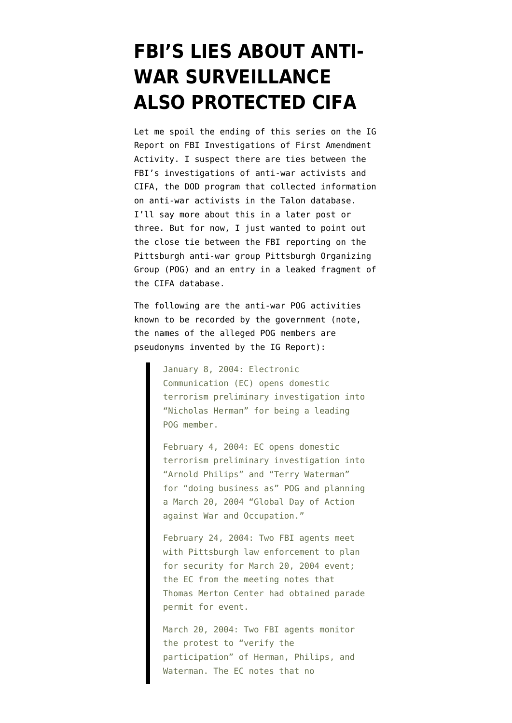### **[FBI'S LIES ABOUT ANTI-](https://www.emptywheel.net/2010/09/24/fbis-lies-about-anti-war-surveillance-also-protected-cifa/)[WAR SURVEILLANCE](https://www.emptywheel.net/2010/09/24/fbis-lies-about-anti-war-surveillance-also-protected-cifa/) [ALSO PROTECTED CIFA](https://www.emptywheel.net/2010/09/24/fbis-lies-about-anti-war-surveillance-also-protected-cifa/)**

Let me spoil the ending of this series on the [IG](http://www.justice.gov/oig/special/s1009r.pdf) [Report on FBI Investigations of First Amendment](http://www.justice.gov/oig/special/s1009r.pdf) [Activity.](http://www.justice.gov/oig/special/s1009r.pdf) I suspect there are ties between the FBI's investigations of anti-war activists and CIFA, the DOD program that collected information on anti-war activists in the Talon database. I'll say more about this in a later post or three. But for now, I just wanted to point out the close tie between the FBI reporting on the Pittsburgh anti-war group Pittsburgh Organizing Group (POG) and an entry in a [leaked fragment](http://static1.firedoglake.com/28/files/2010/09/DODAntiWarProtestDatabaseTracker.pdf) of the CIFA database.

The following are the anti-war POG activities known to be recorded by the government (note, the names of the alleged POG members are pseudonyms invented by the IG Report):

> January 8, 2004: Electronic Communication (EC) opens domestic terrorism preliminary investigation into "Nicholas Herman" for being a leading POG member.

> February 4, 2004: EC opens domestic terrorism preliminary investigation into "Arnold Philips" and "Terry Waterman" for "doing business as" POG and planning a March 20, 2004 "Global Day of Action against War and Occupation."

> February 24, 2004: Two FBI agents meet with Pittsburgh law enforcement to plan for security for March 20, 2004 event; the EC from the meeting notes that Thomas Merton Center had obtained parade permit for event.

March 20, 2004: Two FBI agents monitor the protest to "verify the participation" of Herman, Philips, and Waterman. The EC notes that no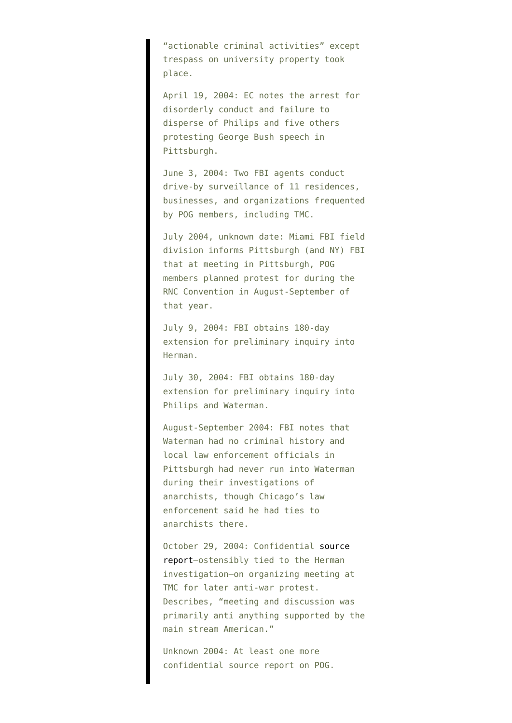"actionable criminal activities" except trespass on university property took place.

April 19, 2004: EC notes the arrest for disorderly conduct and failure to disperse of Philips and five others protesting George Bush speech in Pittsburgh.

June 3, 2004: Two FBI agents conduct drive-by surveillance of 11 residences, businesses, and organizations frequented by POG members, including TMC.

July 2004, unknown date: Miami FBI field division informs Pittsburgh (and NY) FBI that at meeting in Pittsburgh, POG members planned protest for during the RNC Convention in August-September of that year.

July 9, 2004: FBI obtains 180-day extension for preliminary inquiry into Herman.

July 30, 2004: FBI obtains 180-day extension for preliminary inquiry into Philips and Waterman.

August-September 2004: FBI notes that Waterman had no criminal history and local law enforcement officials in Pittsburgh had never run into Waterman during their investigations of anarchists, though Chicago's law enforcement said he had ties to anarchists there.

October 29, 2004: Confidential [source](http://www.aclu.org/national-security/fbi-investigation-thomas-merton-center-confidential-sources) [report–](http://www.aclu.org/national-security/fbi-investigation-thomas-merton-center-confidential-sources)ostensibly tied to the Herman investigation–on organizing meeting at TMC for later anti-war protest. Describes, "meeting and discussion was primarily anti anything supported by the main stream American."

Unknown 2004: At least one more confidential source report on POG.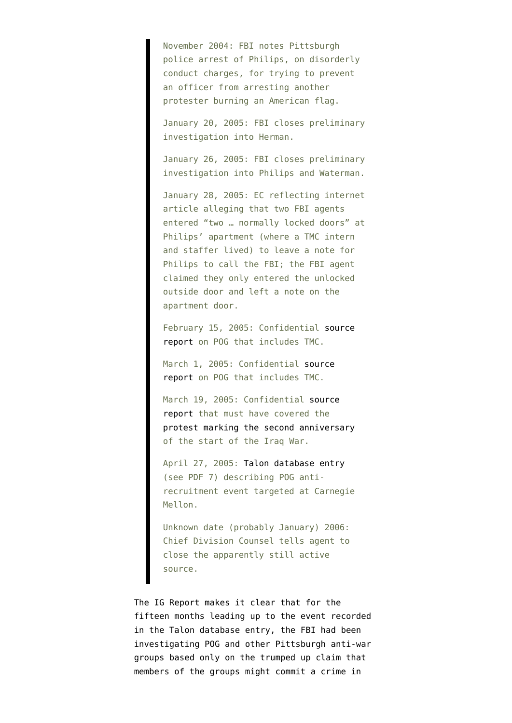November 2004: FBI notes Pittsburgh police arrest of Philips, on disorderly conduct charges, for trying to prevent an officer from arresting another protester burning an American flag.

January 20, 2005: FBI closes preliminary investigation into Herman.

January 26, 2005: FBI closes preliminary investigation into Philips and Waterman.

January 28, 2005: EC reflecting internet article alleging that two FBI agents entered "two … normally locked doors" at Philips' apartment (where a TMC intern and staffer lived) to leave a note for Philips to call the FBI; the FBI agent claimed they only entered the unlocked outside door and left a note on the apartment door.

February 15, 2005: Confidential [source](http://www.aclu.org/national-security/fbi-investigation-thomas-merton-center-confidential-sources) [report](http://www.aclu.org/national-security/fbi-investigation-thomas-merton-center-confidential-sources) on POG that includes TMC.

March 1, 2005: Confidential [source](http://www.aclu.org/national-security/fbi-investigation-thomas-merton-center-confidential-sources) [report](http://www.aclu.org/national-security/fbi-investigation-thomas-merton-center-confidential-sources) on POG that includes TMC.

March 19, 2005: Confidential [source](http://www.aclu.org/national-security/fbi-investigation-thomas-merton-center-confidential-sources) [report](http://www.aclu.org/national-security/fbi-investigation-thomas-merton-center-confidential-sources) that must have covered the [protest marking the second anniversary](http://web.archive.org/web/20050324000941/http://thomasmertoncenter.org/) of the start of the Iraq War.

April 27, 2005: [Talon database entry](http://static1.firedoglake.com/28/files/2010/09/DODAntiWarProtestDatabaseTracker.pdf) (see PDF 7) describing POG antirecruitment event targeted at Carnegie Mellon.

Unknown date (probably January) 2006: Chief Division Counsel tells agent to close the apparently still active source.

The IG Report makes it clear that for the fifteen months leading up to the event recorded in the Talon database entry, the FBI had been investigating POG and other Pittsburgh anti-war groups based only on the trumped up claim that members of the groups might commit a crime in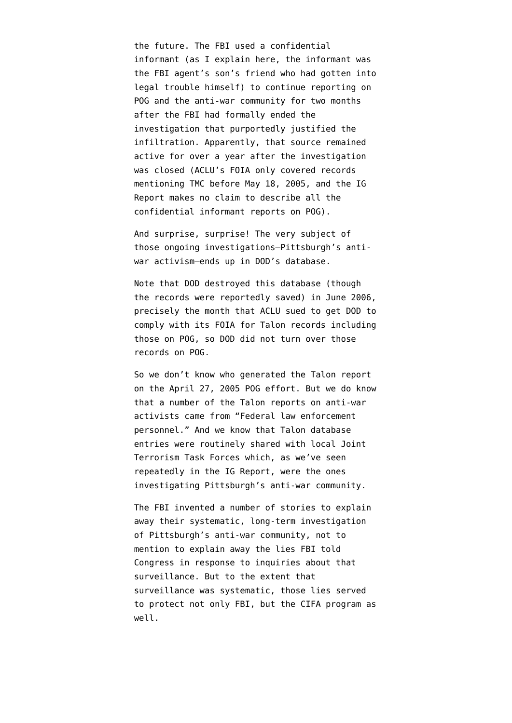the future. The FBI used a confidential informant (as I explain [here](http://emptywheel.firedoglake.com/2010/09/23/the-six-fbi-reports-treating-merton-center-anti-war-activism-as-terrorism/), the informant was the FBI agent's son's friend who had gotten into legal trouble himself) to continue reporting on POG and the anti-war community for two months after the FBI had formally ended the investigation that purportedly justified the infiltration. Apparently, that source remained active for over a year after the investigation was closed (ACLU's FOIA only covered records mentioning TMC before May 18, 2005, and the IG Report makes no claim to describe all the confidential informant reports on POG).

And surprise, surprise! The very subject of those ongoing investigations–Pittsburgh's antiwar activism–ends up in DOD's database.

Note that DOD [destroyed this database](http://thenexthurrah.typepad.com/the_next_hurrah/2007/07/more-funny-busi.html) (though the records were reportedly saved) in June 2006, precisely the month that [ACLU sued](http://www.aclu.org/files/images/spyfiles/asset_upload_file136_25885.pdf) to get DOD to comply with its FOIA for Talon records including those on POG, so DOD did not turn over those records on POG.

So we don't know who generated the Talon report on the April 27, 2005 POG effort. But we do know that a number of the Talon reports on anti-war activists came from "Federal law enforcement personnel." And we know that Talon database entries were routinely shared with local Joint Terrorism Task Forces which, as we've seen repeatedly in the IG Report, were the ones investigating Pittsburgh's anti-war community.

The FBI invented a number of stories to explain away their systematic, long-term investigation of Pittsburgh's anti-war community, not to mention to explain away the lies FBI told Congress in response to inquiries about that surveillance. But to the extent that surveillance was systematic, those lies served to protect not only FBI, but the CIFA program as well.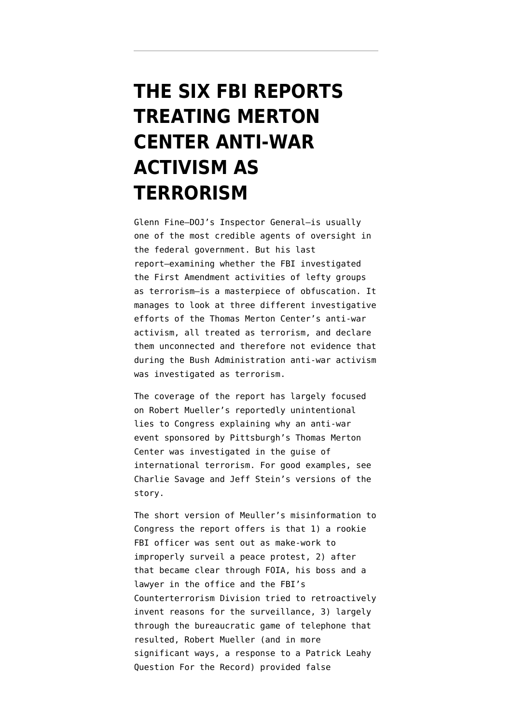### **[THE SIX FBI REPORTS](https://www.emptywheel.net/2010/09/23/the-six-fbi-reports-treating-merton-center-anti-war-activism-as-terrorism/) [TREATING MERTON](https://www.emptywheel.net/2010/09/23/the-six-fbi-reports-treating-merton-center-anti-war-activism-as-terrorism/) [CENTER ANTI-WAR](https://www.emptywheel.net/2010/09/23/the-six-fbi-reports-treating-merton-center-anti-war-activism-as-terrorism/) [ACTIVISM AS](https://www.emptywheel.net/2010/09/23/the-six-fbi-reports-treating-merton-center-anti-war-activism-as-terrorism/) [TERRORISM](https://www.emptywheel.net/2010/09/23/the-six-fbi-reports-treating-merton-center-anti-war-activism-as-terrorism/)**

Glenn Fine–DOJ's Inspector General–is usually one of the most credible agents of oversight in the federal government. But his [last](http://www.justice.gov/oig/special/s1009r.pdf) [report](http://www.justice.gov/oig/special/s1009r.pdf)–examining whether the FBI investigated the First Amendment activities of lefty groups as terrorism–is a masterpiece of obfuscation. It manages to look at three different investigative efforts of the Thomas Merton Center's anti-war activism, all treated as terrorism, and declare them unconnected and therefore not evidence that during the Bush Administration anti-war activism was investigated as terrorism.

The coverage of the report has largely focused on Robert Mueller's reportedly unintentional lies to Congress explaining why an anti-war event sponsored by Pittsburgh's Thomas Merton Center was investigated in the guise of international terrorism. For good examples, see [Charlie Savage](http://www.nytimes.com/2010/09/21/us/politics/21fbi.html?scp=1&sq=merton%20center&st=cse) and [Jeff Stein's](http://blog.washingtonpost.com/spy-talk/2010/09/fbi_cover-up_turns_laughable_s.html#more) versions of the story.

The short version of Meuller's misinformation to Congress the report offers is that 1) a rookie FBI officer was sent out as make-work to improperly surveil a peace protest, 2) after that became clear through FOIA, his boss and a lawyer in the office and the FBI's Counterterrorism Division tried to retroactively invent reasons for the surveillance, 3) largely through the bureaucratic game of telephone that resulted, Robert Mueller (and in more significant ways, a response to a Patrick Leahy Question For the Record) provided false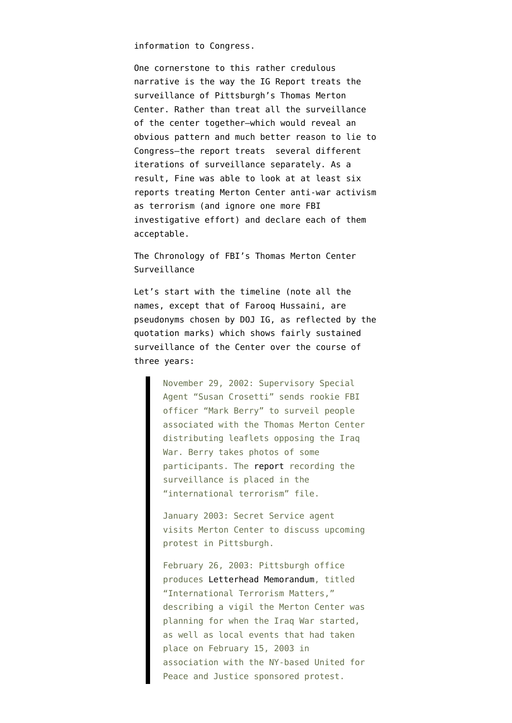information to Congress.

One cornerstone to this rather credulous narrative is the way the IG Report treats the surveillance of Pittsburgh's Thomas Merton Center. Rather than treat all the surveillance of the center together–which would reveal an obvious pattern and much better reason to lie to Congress–the report treats several different iterations of surveillance separately. As a result, Fine was able to look at at least six reports treating Merton Center anti-war activism as terrorism (and ignore one more FBI investigative effort) and declare each of them acceptable.

The Chronology of FBI's Thomas Merton Center Surveillance

Let's start with the timeline (note all the names, except that of Farooq Hussaini, are pseudonyms chosen by DOJ IG, as reflected by the quotation marks) which shows fairly sustained surveillance of the Center over the course of three years:

> November 29, 2002: Supervisory Special Agent "Susan Crosetti" sends rookie FBI officer "Mark Berry" to surveil people associated with the Thomas Merton Center distributing leaflets opposing the Iraq War. Berry takes photos of some participants. The [report](http://www.aclu.org/national-security/fbi-investigation-thomas-merton-center-anti-war-investigation) recording the surveillance is placed in the "international terrorism" file.

> January 2003: Secret Service agent visits Merton Center to discuss upcoming protest in Pittsburgh.

> February 26, 2003: Pittsburgh office produces [Letterhead Memorandum,](http://www.aclu.org/national-security/fbi-investigation-thomas-merton-center-terrorism-memo) titled "International Terrorism Matters," describing a vigil the Merton Center was planning for when the Iraq War started, as well as local events that had taken place on February 15, 2003 in association with the NY-based United for Peace and Justice sponsored protest.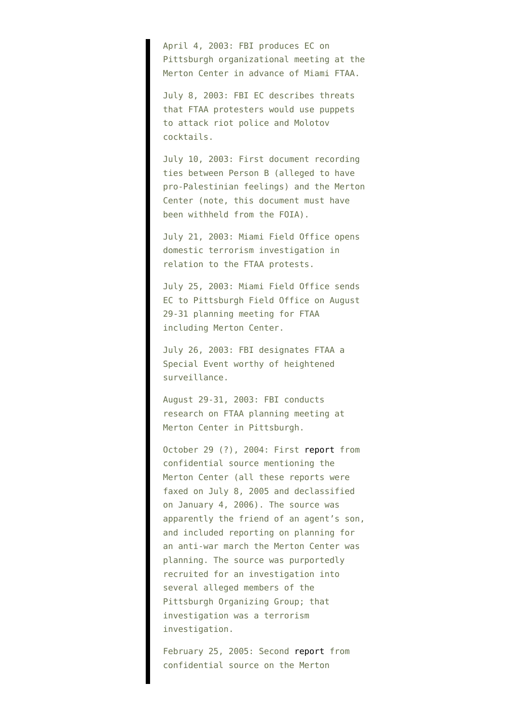April 4, 2003: FBI produces EC on Pittsburgh organizational meeting at the Merton Center in advance of Miami FTAA.

July 8, 2003: FBI EC describes threats that FTAA protesters would use puppets to attack riot police and Molotov cocktails.

July 10, 2003: First document recording ties between Person B (alleged to have pro-Palestinian feelings) and the Merton Center (note, this document must have been withheld from the FOIA).

July 21, 2003: Miami Field Office opens domestic terrorism investigation in relation to the FTAA protests.

July 25, 2003: Miami Field Office sends EC to Pittsburgh Field Office on August 29-31 planning meeting for FTAA including Merton Center.

July 26, 2003: FBI designates FTAA a Special Event worthy of heightened surveillance.

August 29-31, 2003: FBI conducts research on FTAA planning meeting at Merton Center in Pittsburgh.

October 29 (?), 2004: First [report](http://www.aclu.org/national-security/fbi-investigation-thomas-merton-center-confidential-sources) from confidential source mentioning the Merton Center (all these reports were faxed on July 8, 2005 and declassified on January 4, 2006). The source was apparently the friend of an agent's son, and included reporting on planning for an anti-war march the Merton Center was planning. The source was purportedly recruited for an investigation into several alleged members of the Pittsburgh Organizing Group; that investigation was a terrorism investigation.

February 25, 2005: Second [report](http://www.aclu.org/national-security/fbi-investigation-thomas-merton-center-confidential-sources) from confidential source on the Merton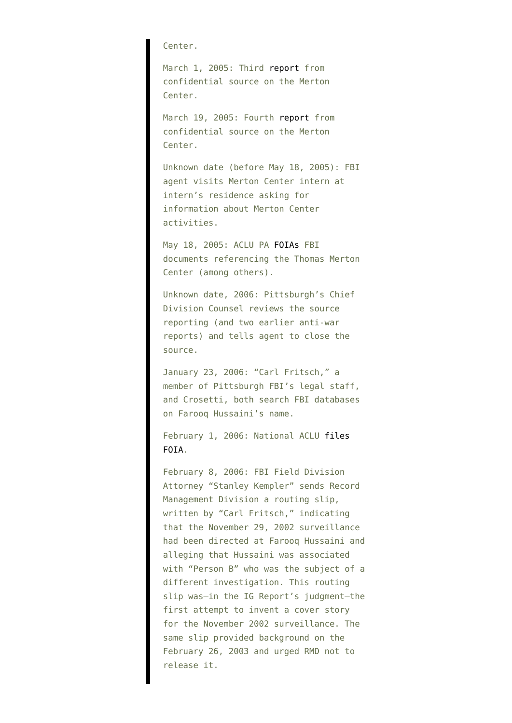Center.

March 1, 2005: Third [report](http://www.aclu.org/national-security/fbi-investigation-thomas-merton-center-confidential-sources) from confidential source on the Merton Center.

March 19, 2005: Fourth [report](http://www.aclu.org/national-security/fbi-investigation-thomas-merton-center-confidential-sources) from confidential source on the Merton Center.

Unknown date (before May 18, 2005): FBI agent visits Merton Center intern at intern's residence asking for information about Merton Center activities.

May 18, 2005: ACLU PA [FOIAs](http://static1.firedoglake.com/28/files/2010/09/050518-PA-FOIA-.pdf) FBI documents referencing the Thomas Merton Center (among others).

Unknown date, 2006: Pittsburgh's Chief Division Counsel reviews the source reporting (and two earlier anti-war reports) and tells agent to close the source.

January 23, 2006: "Carl Fritsch," a member of Pittsburgh FBI's legal staff, and Crosetti, both search FBI databases on Farooq Hussaini's name.

February 1, 2006: National ACLU [files](http://www.aclu.org/national-security/aclu-pennsylvania-seeks-pentagon-files-peace-groups) [FOIA](http://www.aclu.org/national-security/aclu-pennsylvania-seeks-pentagon-files-peace-groups).

February 8, 2006: FBI Field Division Attorney "Stanley Kempler" sends Record Management Division a routing slip, written by "Carl Fritsch," indicating that the November 29, 2002 surveillance had been directed at Farooq Hussaini and alleging that Hussaini was associated with "Person B" who was the subject of a different investigation. This routing slip was–in the IG Report's judgment–the first attempt to invent a cover story for the November 2002 surveillance. The same slip provided background on the February 26, 2003 and urged RMD not to release it.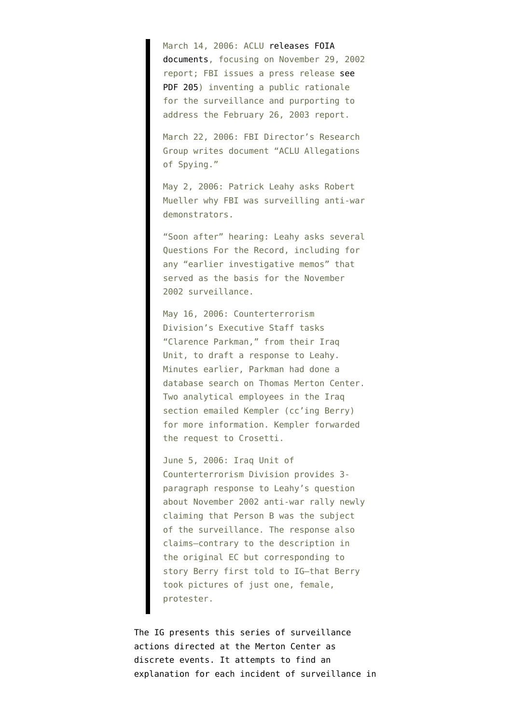March 14, 2006: ACLU [releases FOIA](http://www.aclu.org/national-security/aclu-releases-first-concrete-evidence-fbi-spying-based-solely-groups%E2%80%99-anti-war-vie) [documents](http://www.aclu.org/national-security/aclu-releases-first-concrete-evidence-fbi-spying-based-solely-groups%E2%80%99-anti-war-vie), focusing on November 29, 2002 report; FBI issues a press release [see](http://www.justice.gov/oig/special/s1009r.pdf) [PDF 205\)](http://www.justice.gov/oig/special/s1009r.pdf) inventing a public rationale for the surveillance and purporting to address the February 26, 2003 report.

March 22, 2006: FBI Director's Research Group writes document "ACLU Allegations of Spying."

May 2, 2006: Patrick Leahy asks Robert Mueller why FBI was surveilling anti-war demonstrators.

"Soon after" hearing: Leahy asks several Questions For the Record, including for any "earlier investigative memos" that served as the basis for the November 2002 surveillance.

May 16, 2006: Counterterrorism Division's Executive Staff tasks "Clarence Parkman," from their Iraq Unit, to draft a response to Leahy. Minutes earlier, Parkman had done a database search on Thomas Merton Center. Two analytical employees in the Iraq section emailed Kempler (cc'ing Berry) for more information. Kempler forwarded the request to Crosetti.

June 5, 2006: Iraq Unit of Counterterrorism Division provides 3 paragraph response to Leahy's question about November 2002 anti-war rally newly claiming that Person B was the subject of the surveillance. The response also claims–contrary to the description in the original EC but corresponding to story Berry first told to IG–that Berry took pictures of just one, female, protester.

The IG presents this series of surveillance actions directed at the Merton Center as discrete events. It attempts to find an explanation for each incident of surveillance in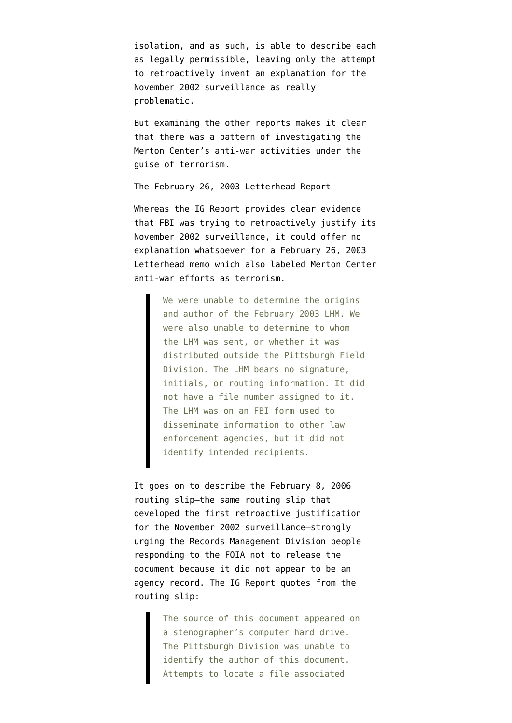isolation, and as such, is able to describe each as legally permissible, leaving only the attempt to retroactively invent an explanation for the November 2002 surveillance as really problematic.

But examining the other reports makes it clear that there was a pattern of investigating the Merton Center's anti-war activities under the guise of terrorism.

The February 26, 2003 Letterhead Report

Whereas the IG Report provides clear evidence that FBI was trying to retroactively justify its November 2002 surveillance, it could offer no explanation whatsoever for a February 26, 2003 Letterhead memo which also labeled Merton Center anti-war efforts as terrorism.

> We were unable to determine the origins and author of the February 2003 LHM. We were also unable to determine to whom the LHM was sent, or whether it was distributed outside the Pittsburgh Field Division. The LHM bears no signature, initials, or routing information. It did not have a file number assigned to it. The LHM was on an FBI form used to disseminate information to other law enforcement agencies, but it did not identify intended recipients.

It goes on to describe the February 8, 2006 routing slip–the same routing slip that developed the first retroactive justification for the November 2002 surveillance–strongly urging the Records Management Division people responding to the FOIA not to release the document because it did not appear to be an agency record. The IG Report quotes from the routing slip:

> The source of this document appeared on a stenographer's computer hard drive. The Pittsburgh Division was unable to identify the author of this document. Attempts to locate a file associated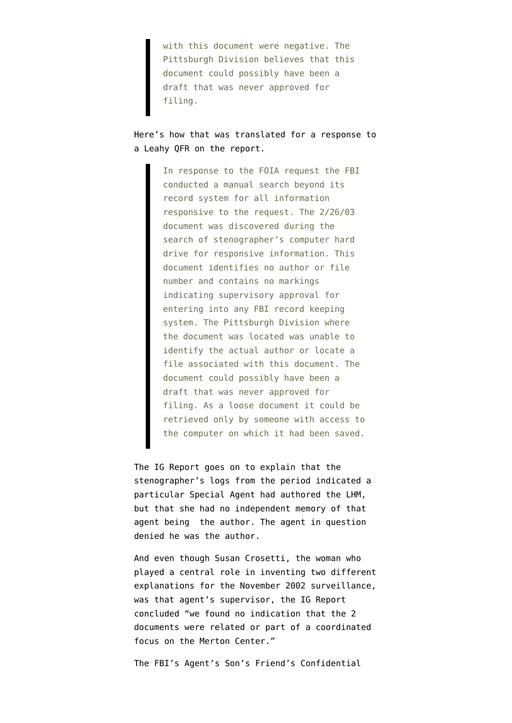with this document were negative. The Pittsburgh Division believes that this document could possibly have been a draft that was never approved for filing.

Here's how that was translated for a response to a Leahy QFR on the report.

> In response to the FOIA request the FBI conducted a manual search beyond its record system for all information responsive to the request. The 2/26/03 document was discovered during the search of stenographer's computer hard drive for responsive information. This document identifies no author or file number and contains no markings indicating supervisory approval for entering into any FBI record keeping system. The Pittsburgh Division where the document was located was unable to identify the actual author or locate a file associated with this document. The document could possibly have been a draft that was never approved for filing. As a loose document it could be retrieved only by someone with access to the computer on which it had been saved.

The IG Report goes on to explain that the stenographer's logs from the period indicated a particular Special Agent had authored the LHM, but that she had no independent memory of that agent being the author. The agent in question denied he was the author.

And even though Susan Crosetti, the woman who played a central role in inventing two different explanations for the November 2002 surveillance, was that agent's supervisor, the IG Report concluded "we found no indication that the 2 documents were related or part of a coordinated focus on the Merton Center."

The FBI's Agent's Son's Friend's Confidential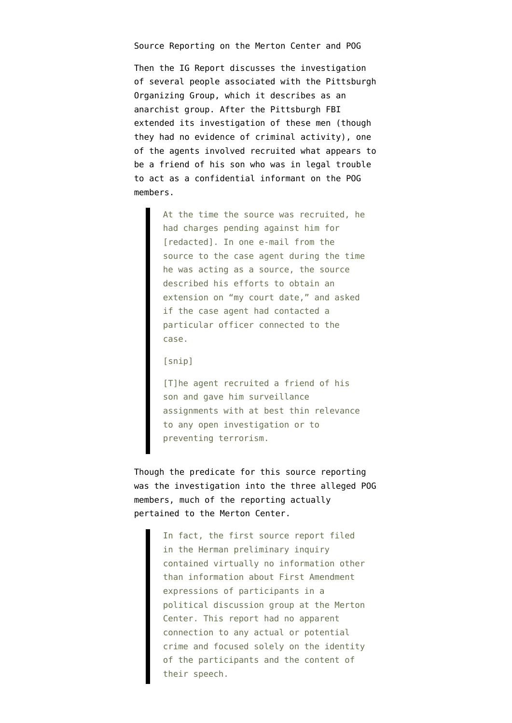Source Reporting on the Merton Center and POG

Then the IG Report discusses the investigation of several people associated with the Pittsburgh Organizing Group, which it describes as an anarchist group. After the Pittsburgh FBI extended its investigation of these men (though they had no evidence of criminal activity), one of the agents involved recruited what appears to be a friend of his son who was in legal trouble to act as a confidential informant on the POG members.

> At the time the source was recruited, he had charges pending against him for [redacted]. In one e-mail from the source to the case agent during the time he was acting as a source, the source described his efforts to obtain an extension on "my court date," and asked if the case agent had contacted a particular officer connected to the case.

#### [snip]

[T]he agent recruited a friend of his son and gave him surveillance assignments with at best thin relevance to any open investigation or to preventing terrorism.

Though the predicate for this source reporting was the investigation into the three alleged POG members, much of the reporting actually pertained to the Merton Center.

> In fact, the first source report filed in the Herman preliminary inquiry contained virtually no information other than information about First Amendment expressions of participants in a political discussion group at the Merton Center. This report had no apparent connection to any actual or potential crime and focused solely on the identity of the participants and the content of their speech.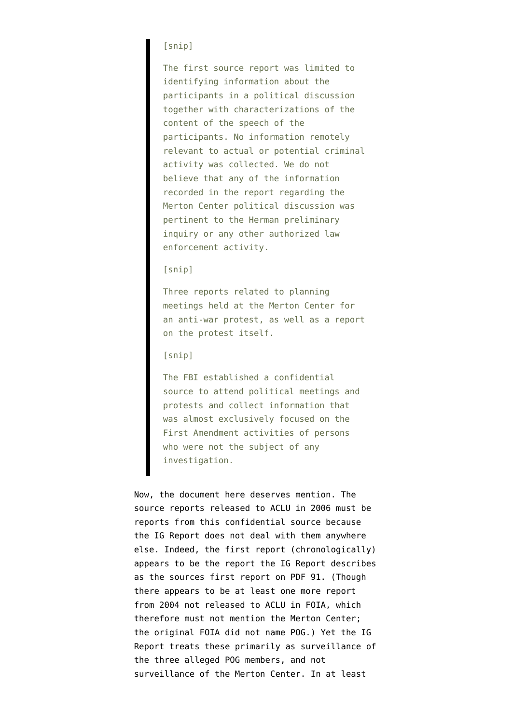#### [snip]

The first source report was limited to identifying information about the participants in a political discussion together with characterizations of the content of the speech of the participants. No information remotely relevant to actual or potential criminal activity was collected. We do not believe that any of the information recorded in the report regarding the Merton Center political discussion was pertinent to the Herman preliminary inquiry or any other authorized law enforcement activity.

#### [snip]

Three reports related to planning meetings held at the Merton Center for an anti-war protest, as well as a report on the protest itself.

#### [snip]

The FBI established a confidential source to attend political meetings and protests and collect information that was almost exclusively focused on the First Amendment activities of persons who were not the subject of any investigation.

Now, the document here deserves mention. The [source reports](http://www.aclu.org/national-security/fbi-investigation-thomas-merton-center-confidential-sources) released to ACLU in 2006 must be reports from this confidential source because the IG Report does not deal with them anywhere else. Indeed, the first report (chronologically) appears to be the report the IG Report describes as the sources first report on PDF 91. (Though there appears to be at least one more report from 2004 not released to ACLU in FOIA, which therefore must not mention the Merton Center; the [original FOIA](http://static1.firedoglake.com/28/files/2010/09/050518-PA-FOIA-.pdf) did not name POG.) Yet the IG Report treats these primarily as surveillance of the three alleged POG members, and not surveillance of the Merton Center. In at least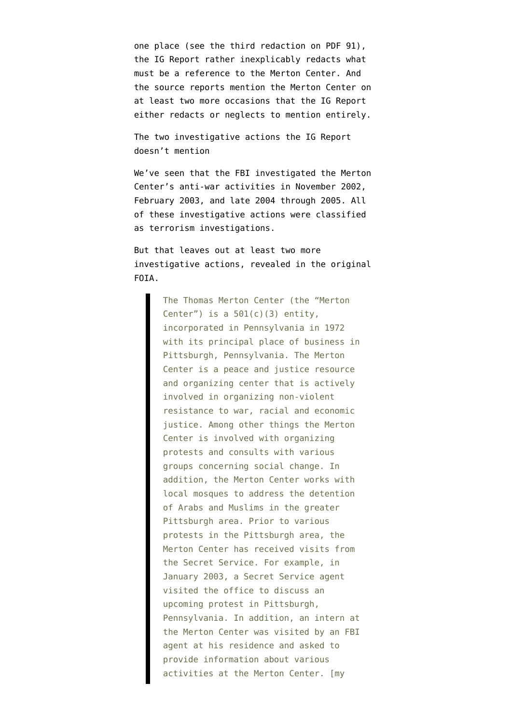one place (see the third redaction on PDF 91), the IG Report rather inexplicably redacts what must be a reference to the Merton Center. And the source reports mention the Merton Center on at least two more occasions that the IG Report either redacts or neglects to mention entirely.

The two investigative actions the IG Report doesn't mention

We've seen that the FBI investigated the Merton Center's anti-war activities in November 2002, February 2003, and late 2004 through 2005. All of these investigative actions were classified as terrorism investigations.

But that leaves out at least two more investigative actions, revealed in the [original](http://static1.firedoglake.com/28/files/2010/09/050518-PA-FOIA-.pdf) [FOIA](http://static1.firedoglake.com/28/files/2010/09/050518-PA-FOIA-.pdf).

> The Thomas Merton Center (the "Merton Center") is a  $501(c)(3)$  entity, incorporated in Pennsylvania in 1972 with its principal place of business in Pittsburgh, Pennsylvania. The Merton Center is a peace and justice resource and organizing center that is actively involved in organizing non-violent resistance to war, racial and economic justice. Among other things the Merton Center is involved with organizing protests and consults with various groups concerning social change. In addition, the Merton Center works with local mosques to address the detention of Arabs and Muslims in the greater Pittsburgh area. Prior to various protests in the Pittsburgh area, the Merton Center has received visits from the Secret Service. For example, in January 2003, a Secret Service agent visited the office to discuss an upcoming protest in Pittsburgh, Pennsylvania. In addition, an intern at the Merton Center was visited by an FBI agent at his residence and asked to provide information about various activities at the Merton Center. [my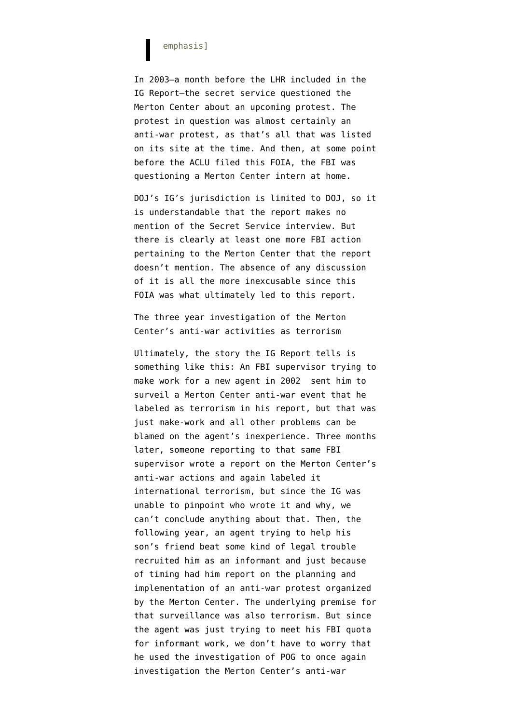#### emphasis]

In 2003–a month before the LHR included in the IG Report–the secret service questioned the Merton Center about an upcoming protest. The protest in question was almost certainly an anti-war protest, as [that's all](http://web.archive.org/web/20030130133159/http://www.thomasmertoncenter.org/) that was [listed](http://web.archive.org/web/20030311070948/www.thomasmertoncenter.org/peace/) [on its site](http://web.archive.org/web/20030311070948/www.thomasmertoncenter.org/peace/) at the time. And then, at some point before the ACLU filed this FOIA, the FBI was questioning a Merton Center intern at home.

DOJ's IG's jurisdiction is limited to DOJ, so it is understandable that the report makes no mention of the Secret Service interview. But there is clearly at least one more FBI action pertaining to the Merton Center that the report doesn't mention. The absence of any discussion of it is all the more inexcusable since this FOIA was what ultimately led to this report.

The three year investigation of the Merton Center's anti-war activities as terrorism

Ultimately, the story the IG Report tells is something like this: An FBI supervisor trying to make work for a new agent in 2002 sent him to surveil a Merton Center anti-war event that he labeled as terrorism in his report, but that was just make-work and all other problems can be blamed on the agent's inexperience. Three months later, someone reporting to that same FBI supervisor wrote a report on the Merton Center's anti-war actions and again labeled it international terrorism, but since the IG was unable to pinpoint who wrote it and why, we can't conclude anything about that. Then, the following year, an agent trying to help his son's friend beat some kind of legal trouble recruited him as an informant and just because of timing had him report on the planning and implementation of an anti-war protest organized by the Merton Center. The underlying premise for that surveillance was also terrorism. But since the agent was just trying to meet his FBI quota for informant work, we don't have to worry that he used the investigation of POG to once again investigation the Merton Center's anti-war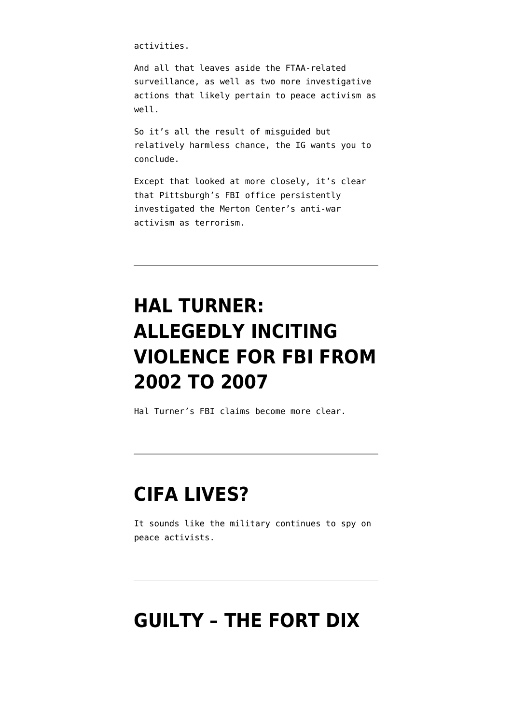activities.

And all that leaves aside the FTAA-related surveillance, as well as two more investigative actions that likely pertain to peace activism as well.

So it's all the result of misguided but relatively harmless chance, the IG wants you to conclude.

Except that looked at more closely, it's clear that Pittsburgh's FBI office persistently investigated the Merton Center's anti-war activism as terrorism.

# **[HAL TURNER:](https://www.emptywheel.net/2009/08/18/hal-turner-allegedly-inciting-violence-for-fbi-from-2002-to-2007/) [ALLEGEDLY INCITING](https://www.emptywheel.net/2009/08/18/hal-turner-allegedly-inciting-violence-for-fbi-from-2002-to-2007/) [VIOLENCE FOR FBI FROM](https://www.emptywheel.net/2009/08/18/hal-turner-allegedly-inciting-violence-for-fbi-from-2002-to-2007/) [2002 TO 2007](https://www.emptywheel.net/2009/08/18/hal-turner-allegedly-inciting-violence-for-fbi-from-2002-to-2007/)**

Hal Turner's FBI claims become more clear.

### **[CIFA LIVES?](https://www.emptywheel.net/2009/07/29/cifa-lives/)**

It sounds like the military continues to spy on peace activists.

#### **[GUILTY – THE FORT DIX](https://www.emptywheel.net/2008/12/22/guilty-the-fort-dix-five-convicted/)**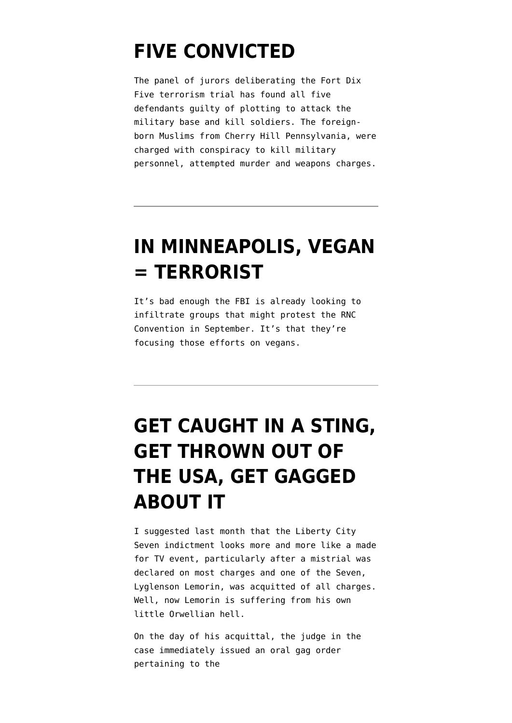### **[FIVE CONVICTED](https://www.emptywheel.net/2008/12/22/guilty-the-fort-dix-five-convicted/)**

The panel of jurors deliberating the Fort Dix Five terrorism trial has found all five defendants guilty of plotting to attack the military base and kill soldiers. The foreignborn Muslims from Cherry Hill Pennsylvania, were charged with conspiracy to kill military personnel, attempted murder and weapons charges.

### **[IN MINNEAPOLIS, VEGAN](https://www.emptywheel.net/2008/05/21/in-minneapolis-vegan-terrorist/) [= TERRORIST](https://www.emptywheel.net/2008/05/21/in-minneapolis-vegan-terrorist/)**

It's bad enough the FBI is already looking to infiltrate groups that might protest the RNC Convention in September. It's that they're focusing those efforts on vegans.

# **[GET CAUGHT IN A STING,](https://www.emptywheel.net/2008/01/04/get-caught-in-a-sting-get-thrown-out-of-the-usa-get-gagged-about-it/) [GET THROWN OUT OF](https://www.emptywheel.net/2008/01/04/get-caught-in-a-sting-get-thrown-out-of-the-usa-get-gagged-about-it/) [THE USA, GET GAGGED](https://www.emptywheel.net/2008/01/04/get-caught-in-a-sting-get-thrown-out-of-the-usa-get-gagged-about-it/) [ABOUT IT](https://www.emptywheel.net/2008/01/04/get-caught-in-a-sting-get-thrown-out-of-the-usa-get-gagged-about-it/)**

I suggested last month that the Liberty City Seven indictment looks more and more like a made for TV event, particularly after a mistrial was declared on most charges and one of the Seven, Lyglenson Lemorin, was acquitted of all charges. Well, now Lemorin is suffering from his own little Orwellian hell.

On the day of his acquittal, the judge in the case immediately issued an oral gag order pertaining to the